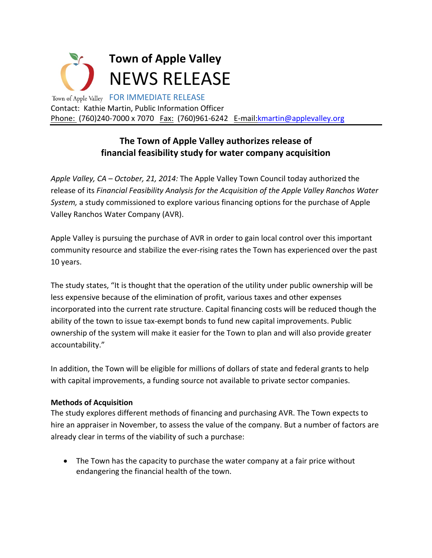

## **The Town of Apple Valley authorizes release of financial feasibility study for water company acquisition**

*Apple Valley, CA – October, 21, 2014:* The Apple Valley Town Council today authorized the release of its *Financial Feasibility Analysis for the Acquisition of the Apple Valley Ranchos Water System,* a study commissioned to explore various financing options for the purchase of Apple Valley Ranchos Water Company (AVR).

Apple Valley is pursuing the purchase of AVR in order to gain local control over this important community resource and stabilize the ever-rising rates the Town has experienced over the past 10 years.

The study states, "It is thought that the operation of the utility under public ownership will be less expensive because of the elimination of profit, various taxes and other expenses incorporated into the current rate structure. Capital financing costs will be reduced though the ability of the town to issue tax-exempt bonds to fund new capital improvements. Public ownership of the system will make it easier for the Town to plan and will also provide greater accountability."

In addition, the Town will be eligible for millions of dollars of state and federal grants to help with capital improvements, a funding source not available to private sector companies.

## **Methods of Acquisition**

The study explores different methods of financing and purchasing AVR. The Town expects to hire an appraiser in November, to assess the value of the company. But a number of factors are already clear in terms of the viability of such a purchase:

• The Town has the capacity to purchase the water company at a fair price without endangering the financial health of the town.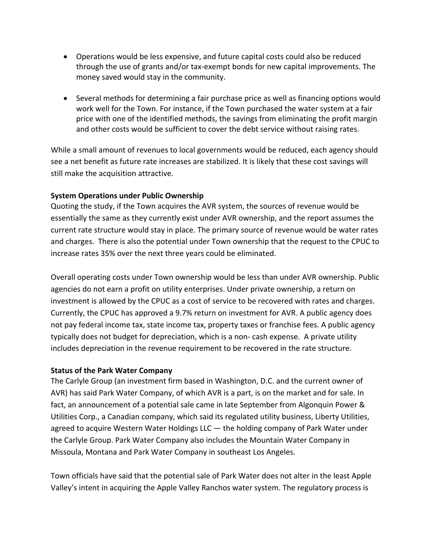- Operations would be less expensive, and future capital costs could also be reduced through the use of grants and/or tax‐exempt bonds for new capital improvements. The money saved would stay in the community.
- Several methods for determining a fair purchase price as well as financing options would work well for the Town. For instance, if the Town purchased the water system at a fair price with one of the identified methods, the savings from eliminating the profit margin and other costs would be sufficient to cover the debt service without raising rates.

While a small amount of revenues to local governments would be reduced, each agency should see a net benefit as future rate increases are stabilized. It is likely that these cost savings will still make the acquisition attractive.

## **System Operations under Public Ownership**

Quoting the study, if the Town acquires the AVR system, the sources of revenue would be essentially the same as they currently exist under AVR ownership, and the report assumes the current rate structure would stay in place. The primary source of revenue would be water rates and charges. There is also the potential under Town ownership that the request to the CPUC to increase rates 35% over the next three years could be eliminated.

Overall operating costs under Town ownership would be less than under AVR ownership. Public agencies do not earn a profit on utility enterprises. Under private ownership, a return on investment is allowed by the CPUC as a cost of service to be recovered with rates and charges. Currently, the CPUC has approved a 9.7% return on investment for AVR. A public agency does not pay federal income tax, state income tax, property taxes or franchise fees. A public agency typically does not budget for depreciation, which is a non‐ cash expense. A private utility includes depreciation in the revenue requirement to be recovered in the rate structure.

## **Status of the Park Water Company**

The Carlyle Group (an investment firm based in Washington, D.C. and the current owner of AVR) has said Park Water Company, of which AVR is a part, is on the market and for sale. In fact, an announcement of a potential sale came in late September from Algonquin Power & Utilities Corp., a Canadian company, which said its regulated utility business, Liberty Utilities, agreed to acquire Western Water Holdings LLC — the holding company of Park Water under the Carlyle Group. Park Water Company also includes the Mountain Water Company in Missoula, Montana and Park Water Company in southeast Los Angeles.

Town officials have said that the potential sale of Park Water does not alter in the least Apple Valley's intent in acquiring the Apple Valley Ranchos water system. The regulatory process is